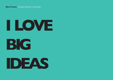**Mick French** | Creative Director, Copywriter

# **I LOVE**

# **BIG**

# **IDEAS**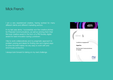# Mick French

I am a very experienced creative, having worked for many different clients and different marketing sectors.

In my last year alone, I successfully won five creative pitches for Prescript Communications, as well as winning them their first ever creative award in the form of a PM Society digital award for best innovation during Lockdown.

I like to work collaboratively and my pragmatic approach to problem solving and desire for finding new and original ways to solve the brief makes me very easy to work with and enormously productive.

I always look forward to taking on my next challenge.

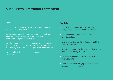# Mick French | **Personal Statement**

## **Hello**

I am a conceptual creative person, specialising in great ideas that work across all platforms.

My experience spans from working for Global advertising agencies, though startups, to mining companies, pharmaceutical agencies and beyond.

My skills include copywriting, content development, script writing, internal communications, OOH, TV commercials, website copy, TOV development, digital ideas and many more.

I work quickly, collaboratively, diligently and with a smile on my face.

# **Key Skills**

- Part of a successful team either as a solo Copywriter, or working with an Art Director
- Highly conceptual thinker with a proven awards pedigree
- Strong presentation skills and good at building client relationships
- Versatile copywriting skills able to adapt to any tone of voice on any platform
- Experience of being a Creative Director as well as a Copywriter
- Good people skills; enjoying mentoring teams and garnering enthusiasm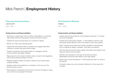# Mick French | **Employment History**

### **Prescript Communications**

**Letchworth 2019 – 2021**

#### **Achievements and Responsibilities**

- Worked as a creative team with art director, Steve Mew, on numerous high-profile, award winning projects across the Pharma industry
- Created the award-winning Super You concept for Takeda
- Winner of 5 major new business pitches
- Liaised with and advised clients on projects and suggest alternative methods to achieve their goals within budget
- Creation of exciting and innovative ideas for campaigns, internal communications and digital materials
- Repurpose all communication media to take on board Covid regulations and to reach people working from home.
- Regularly present creative concepts to clients and join client project scoping meetings
- Created content and assisted as a consultant on the roll-out of the Novartis brand re-vamp
- Responsible for rebranding and new tone of voice for the agency, rolling out a whole new campaign for Prescript.

# **First Quantum Minerals** Global **2017 – 2019**

#### **Achievements and Responsibilities**

- Creative lead across all internal communications spanning 11 countries and seven languages
- Created the 20,000 stories website a CSR initiative to tell the world what great things FQM do for the communities in which they operate
- Write, conceive and produce the monthly newsletter to all employees and co-ordinate its design, translation, information and delivery
- Visit mine sites across the world to gather information and research local needs for internal communication
- Write all communications in the style of the CEO and senior stakeholders and ensure their delivery to the right people
- Devise ways of communicating to 17,000 people who aren't on email or the internet
- Constantly create new communication initiatives to roll out across the company.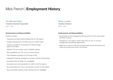# Mick French | **Employment History**

### **The Big Idea Shop**

Creative Director/Copywriter **2014 – 2017**

#### **Achievements and Responsibilities**

Projects included:

- Copywriter and lead creative development for 5X5 agency
- Creative development of the MG account for RAPP Dubai
- Creative concepts for winning pitch for Nokia through agency Kemosabe
- Website TOV and content copy for Satellite Creative
- Brand guidelines and TOV copy for Hudson Shoes.
- Fully integrated campaign for Ford Kuga at GTB
- Integrated Christmas campaign for Southern Comfort at Kemosabe
- Successful pitch for Radio X for HeyBigMan
- Successful and controversial pitch for GBK for the You Agency.
- Successful pitches for Cisco and Southern Comfort for Kemosabe.
- Ikea and NCASS website content development for HeyBigMan

## **Havas London**

Creative Director **2008 – 2014**

#### **Achievements and Responsibilities**

- Successfully ran and managed the RB account for the UK, plus Europe and North America
- Operated as a mini agency within Havas with my own TV, account management and planning departments.
- Made lots of money for RB with increased sales across all products and made some pretty good stuff in the process.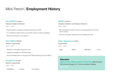# Mick French | **Employment History**

**Euro RSCG** London Global Creative Director **2007 – 2008**

- Responsible for creating worldwide advertising for RB
- Co-ordinating creative teams around the world to create campaigns.
- Became the King of Link research

# **Euro RSCG** Global

#### Senior Copywriter

**2005 – 2007**

- Worked on the global Jaguar account
- Created campaigns for RB Worldwide
- Won the Global pitch to bring all of the RB advertising into Euro RSCG

# **Freelance** London

#### Senior Copywriter

**2003 – 2005**

• AMVBBDO • Publicis • Euro RSCG

# **WCRS** London Creative Director and Board Director **2000 – 2003**

- Ran the National Lottery Account, increasing sales for the first time in history.
- Also ran the Radox, Brylcreem and Toshiba accounts.

# **Other Agencies** London

#### **Copywriter**

**1984 – 2000**

• Ogilvy • BBDO • BMPDDB • Y & R

## **Education**

**Manchester Metropolitan University** Manchester BA (Hons) Design for Communication Media **1981 – 1984**